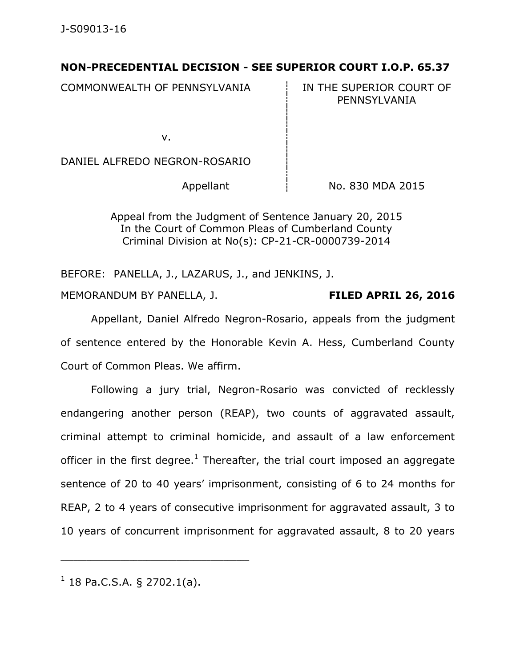## **NON-PRECEDENTIAL DECISION - SEE SUPERIOR COURT I.O.P. 65.37**

COMMONWEALTH OF PENNSYLVANIA **IN THE SUPERIOR COURT OF** 

PENNSYLVANIA

v.

DANIEL ALFREDO NEGRON-ROSARIO

Appellant  $\frac{1}{1}$  No. 830 MDA 2015

Appeal from the Judgment of Sentence January 20, 2015 In the Court of Common Pleas of Cumberland County Criminal Division at No(s): CP-21-CR-0000739-2014

BEFORE: PANELLA, J., LAZARUS, J., and JENKINS, J. MEMORANDUM BY PANELLA, J. **FILED APRIL 26, 2016**

Appellant, Daniel Alfredo Negron-Rosario, appeals from the judgment of sentence entered by the Honorable Kevin A. Hess, Cumberland County Court of Common Pleas. We affirm.

Following a jury trial, Negron-Rosario was convicted of recklessly endangering another person (REAP), two counts of aggravated assault, criminal attempt to criminal homicide, and assault of a law enforcement officer in the first degree.<sup>1</sup> Thereafter, the trial court imposed an aggregate sentence of 20 to 40 years' imprisonment, consisting of 6 to 24 months for REAP, 2 to 4 years of consecutive imprisonment for aggravated assault, 3 to 10 years of concurrent imprisonment for aggravated assault, 8 to 20 years

 $1$  18 Pa.C.S.A. § 2702.1(a).

\_\_\_\_\_\_\_\_\_\_\_\_\_\_\_\_\_\_\_\_\_\_\_\_\_\_\_\_\_\_\_\_\_\_\_\_\_\_\_\_\_\_\_\_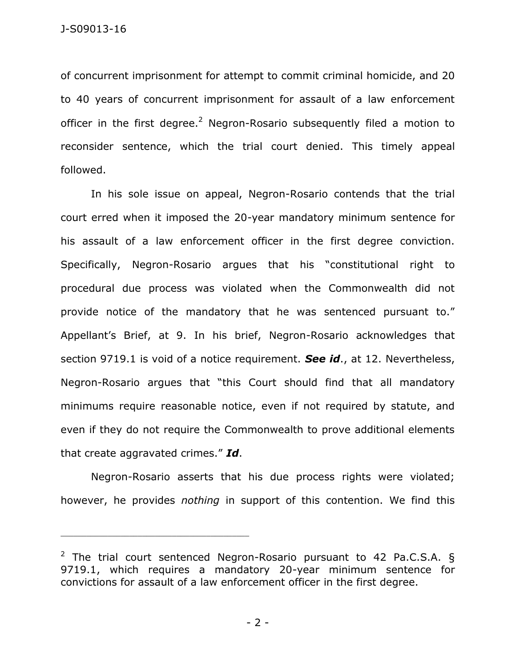of concurrent imprisonment for attempt to commit criminal homicide, and 20 to 40 years of concurrent imprisonment for assault of a law enforcement officer in the first degree.<sup>2</sup> Negron-Rosario subsequently filed a motion to reconsider sentence, which the trial court denied. This timely appeal followed.

In his sole issue on appeal, Negron-Rosario contends that the trial court erred when it imposed the 20-year mandatory minimum sentence for his assault of a law enforcement officer in the first degree conviction. Specifically, Negron-Rosario argues that his "constitutional right to procedural due process was violated when the Commonwealth did not provide notice of the mandatory that he was sentenced pursuant to." Appellant's Brief, at 9. In his brief, Negron-Rosario acknowledges that section 9719.1 is void of a notice requirement. *See id*., at 12. Nevertheless, Negron-Rosario argues that "this Court should find that all mandatory minimums require reasonable notice, even if not required by statute, and even if they do not require the Commonwealth to prove additional elements that create aggravated crimes." *Id*.

Negron-Rosario asserts that his due process rights were violated; however, he provides *nothing* in support of this contention. We find this

\_\_\_\_\_\_\_\_\_\_\_\_\_\_\_\_\_\_\_\_\_\_\_\_\_\_\_\_\_\_\_\_\_\_\_\_\_\_\_\_\_\_\_\_

 $2$  The trial court sentenced Negron-Rosario pursuant to 42 Pa.C.S.A.  $\delta$ 9719.1, which requires a mandatory 20-year minimum sentence for convictions for assault of a law enforcement officer in the first degree.